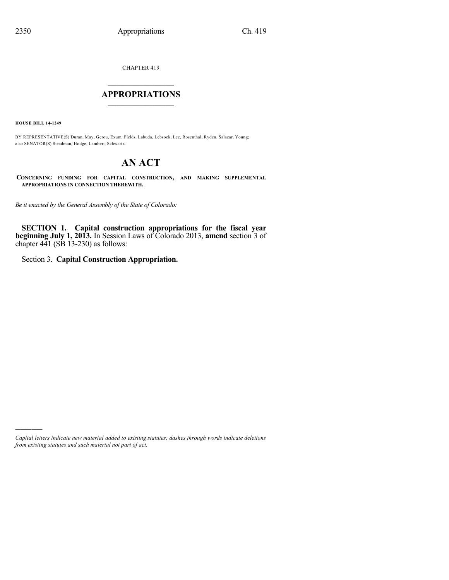CHAPTER 419

## $\overline{\phantom{a}}$  . The set of the set of the set of the set of the set of the set of the set of the set of the set of the set of the set of the set of the set of the set of the set of the set of the set of the set of the set o **APPROPRIATIONS**  $\_$   $\_$   $\_$   $\_$   $\_$   $\_$   $\_$   $\_$

**HOUSE BILL 14-1249**

)))))

BY REPRESENTATIVE(S) Duran, May, Gerou, Exum, Fields, Labuda, Lebsock, Lee, Rosenthal, Ryden, Salazar, Young; also SENATOR(S) Steadman, Hodge, Lambert, Schwartz.

## **AN ACT**

**CONCERNING FUNDING FOR CAPITAL CONSTRUCTION, AND MAKING SUPPLEMENTAL APPROPRIATIONS IN CONNECTION THEREWITH.**

*Be it enacted by the General Assembly of the State of Colorado:*

**SECTION 1. Capital construction appropriations for the fiscal year beginning July 1, 2013.** In Session Laws of Colorado 2013, **amend** section 3 of chapter  $441$  (SB 13-230) as follows:

Section 3. **Capital Construction Appropriation.**

*Capital letters indicate new material added to existing statutes; dashes through words indicate deletions from existing statutes and such material not part of act.*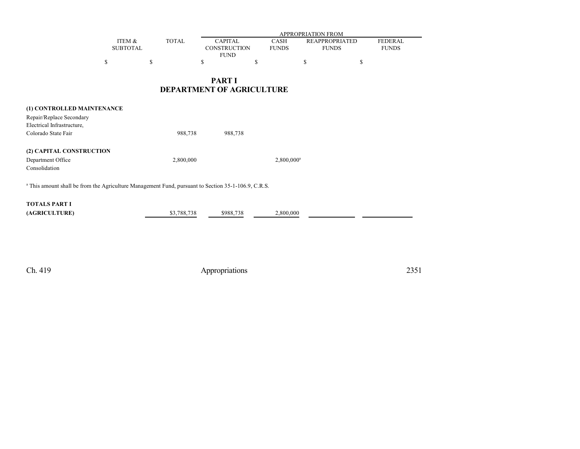|                 |              | APPROPRIATION FROM |              |                       |                |  |  |
|-----------------|--------------|--------------------|--------------|-----------------------|----------------|--|--|
| ITEM &          | <b>TOTAL</b> | <b>CAPITAL</b>     | CASH         | <b>REAPPROPRIATED</b> | <b>FEDERAL</b> |  |  |
| <b>SUBTOTAL</b> |              | CONSTRUCTION       | <b>FUNDS</b> | <b>FUNDS</b>          | <b>FUNDS</b>   |  |  |
|                 |              | <b>FUND</b>        |              |                       |                |  |  |
|                 |              |                    |              |                       |                |  |  |

## **PART I DEPARTMENT OF AGRICULTURE**

| (1) CONTROLLED MAINTENANCE<br>Repair/Replace Secondary<br>Electrical Infrastructure,<br>Colorado State Fair    | 988,738     | 988,738   |               |  |  |  |
|----------------------------------------------------------------------------------------------------------------|-------------|-----------|---------------|--|--|--|
| (2) CAPITAL CONSTRUCTION<br>Department Office<br>Consolidation                                                 | 2,800,000   |           | $2,800,000^a$ |  |  |  |
| <sup>a</sup> This amount shall be from the Agriculture Management Fund, pursuant to Section 35-1-106.9, C.R.S. |             |           |               |  |  |  |
| <b>TOTALS PART I</b><br>(AGRICULTURE)                                                                          | \$3,788,738 | \$988.738 | 2,800,000     |  |  |  |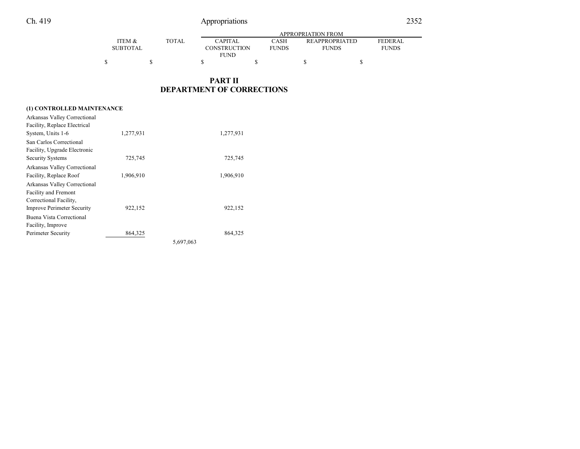|                   |              |              | APPROPRIATION FROM |                       |                |  |  |  |
|-------------------|--------------|--------------|--------------------|-----------------------|----------------|--|--|--|
| <b>ITEM &amp;</b> | <b>TOTAL</b> | CAPITAL      | CASH               | <b>REAPPROPRIATED</b> | <b>FEDERAL</b> |  |  |  |
| SUBTOTAL          |              | CONSTRUCTION | <b>FUNDS</b>       | <b>FUNDS</b>          | <b>FUNDS</b>   |  |  |  |
|                   |              | <b>FUND</b>  |                    |                       |                |  |  |  |
| \$                |              |              |                    |                       |                |  |  |  |

## **PART II DEPARTMENT OF CORRECTIONS**

#### **(1) CONTROLLED MAINTENANCE**

| Arkansas Valley Correctional      |           |           |           |
|-----------------------------------|-----------|-----------|-----------|
| Facility, Replace Electrical      |           |           |           |
| System, Units 1-6                 | 1,277,931 |           | 1,277,931 |
| San Carlos Correctional           |           |           |           |
| Facility, Upgrade Electronic      |           |           |           |
| <b>Security Systems</b>           | 725,745   |           | 725,745   |
| Arkansas Valley Correctional      |           |           |           |
| Facility, Replace Roof            | 1,906,910 |           | 1,906,910 |
| Arkansas Valley Correctional      |           |           |           |
| <b>Facility and Fremont</b>       |           |           |           |
| Correctional Facility,            |           |           |           |
| <b>Improve Perimeter Security</b> | 922,152   |           | 922,152   |
| Buena Vista Correctional          |           |           |           |
| Facility, Improve                 |           |           |           |
| Perimeter Security                | 864,325   |           | 864,325   |
|                                   |           | 5,697,063 |           |
|                                   |           |           |           |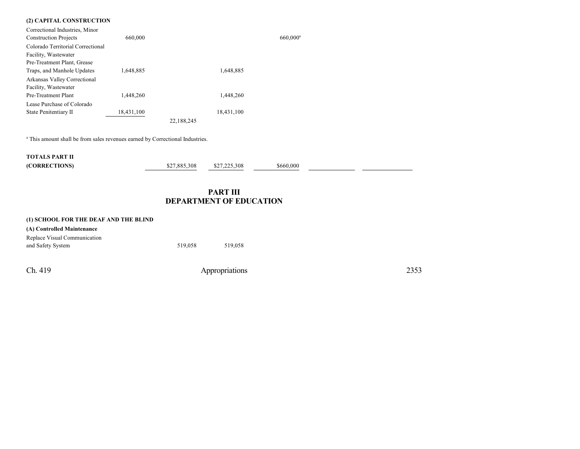#### **(2) CAPITAL CONSTRUCTION**

| Correctional Industries, Minor    |            |            |         |
|-----------------------------------|------------|------------|---------|
| <b>Construction Projects</b>      | 660,000    |            | 660,000 |
| Colorado Territorial Correctional |            |            |         |
| Facility, Wastewater              |            |            |         |
| Pre-Treatment Plant, Grease       |            |            |         |
| Traps, and Manhole Updates        | 1,648,885  | 1,648,885  |         |
| Arkansas Valley Correctional      |            |            |         |
| Facility, Wastewater              |            |            |         |
| Pre-Treatment Plant               | 1.448.260  | 1.448.260  |         |
| Lease Purchase of Colorado        |            |            |         |
| State Penitentiary II             | 18,431,100 | 18,431,100 |         |
|                                   |            | 22.188.245 |         |
|                                   |            |            |         |

<sup>a</sup> This amount shall be from sales revenues earned by Correctional Industries.

| <b>TOTALS PART II</b> |              |              |           |  |
|-----------------------|--------------|--------------|-----------|--|
| (CORRECTIONS)         | \$27.885.308 | \$27.225.308 | \$660.000 |  |

## **PART III DEPARTMENT OF EDUCATION**

 $660,000$ <sup>a</sup>

| (1) SCHOOL FOR THE DEAF AND THE BLIND |         |         |
|---------------------------------------|---------|---------|
| (A) Controlled Maintenance            |         |         |
| Replace Visual Communication          |         |         |
| and Safety System                     | 519.058 | 519.058 |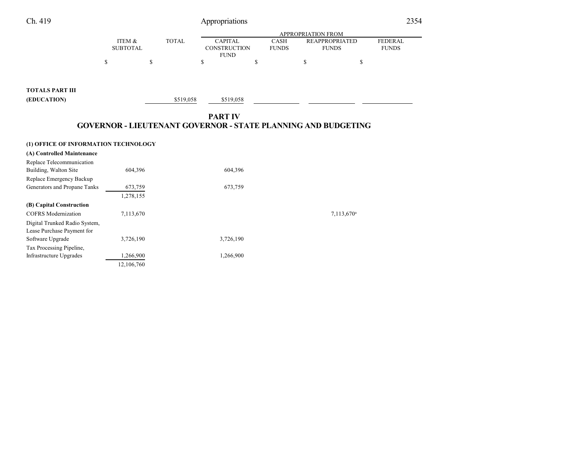| Ch. 419                                           |                           |              | Appropriations                                                                         |                      |                                       |                        | 2354                           |
|---------------------------------------------------|---------------------------|--------------|----------------------------------------------------------------------------------------|----------------------|---------------------------------------|------------------------|--------------------------------|
|                                                   |                           |              |                                                                                        |                      | APPROPRIATION FROM                    |                        |                                |
|                                                   | ITEM &<br><b>SUBTOTAL</b> | <b>TOTAL</b> | <b>CAPITAL</b><br>CONSTRUCTION<br><b>FUND</b>                                          | CASH<br><b>FUNDS</b> | <b>REAPPROPRIATED</b><br><b>FUNDS</b> |                        | <b>FEDERAL</b><br><b>FUNDS</b> |
|                                                   | \$<br>\$                  |              | \$                                                                                     | \$                   | \$                                    | \$                     |                                |
| <b>TOTALS PART III</b>                            |                           |              |                                                                                        |                      |                                       |                        |                                |
| (EDUCATION)                                       |                           | \$519,058    | \$519,058                                                                              |                      |                                       |                        |                                |
|                                                   |                           |              |                                                                                        |                      |                                       |                        |                                |
|                                                   |                           |              | <b>PART IV</b><br><b>GOVERNOR - LIEUTENANT GOVERNOR - STATE PLANNING AND BUDGETING</b> |                      |                                       |                        |                                |
|                                                   |                           |              |                                                                                        |                      |                                       |                        |                                |
| (1) OFFICE OF INFORMATION TECHNOLOGY              |                           |              |                                                                                        |                      |                                       |                        |                                |
| (A) Controlled Maintenance                        |                           |              |                                                                                        |                      |                                       |                        |                                |
| Replace Telecommunication                         | 604,396                   |              |                                                                                        |                      |                                       |                        |                                |
| Building, Walton Site<br>Replace Emergency Backup |                           |              | 604,396                                                                                |                      |                                       |                        |                                |
| Generators and Propane Tanks                      | 673,759                   |              | 673,759                                                                                |                      |                                       |                        |                                |
|                                                   | 1,278,155                 |              |                                                                                        |                      |                                       |                        |                                |
| (B) Capital Construction                          |                           |              |                                                                                        |                      |                                       |                        |                                |
| <b>COFRS</b> Modernization                        | 7,113,670                 |              |                                                                                        |                      |                                       | 7,113,670 <sup>a</sup> |                                |
| Digital Trunked Radio System,                     |                           |              |                                                                                        |                      |                                       |                        |                                |
| Lease Purchase Payment for                        |                           |              |                                                                                        |                      |                                       |                        |                                |
| Software Upgrade                                  | 3,726,190                 |              | 3,726,190                                                                              |                      |                                       |                        |                                |
| Tax Processing Pipeline,                          |                           |              |                                                                                        |                      |                                       |                        |                                |
| Infrastructure Upgrades                           | 1,266,900                 |              | 1,266,900                                                                              |                      |                                       |                        |                                |
|                                                   | 12,106,760                |              |                                                                                        |                      |                                       |                        |                                |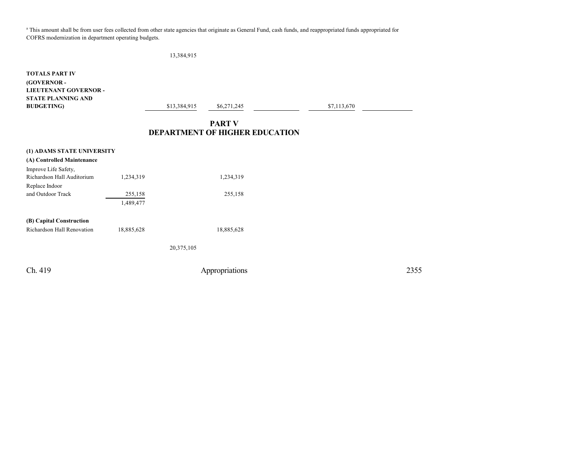<sup>a</sup> This amount shall be from user fees collected from other state agencies that originate as General Fund, cash funds, and reappropriated funds appropriated for COFRS modernization in department operating budgets.

13,384,915

**TOTALS PART IV (GOVERNOR - LIEUTENANT GOVERNOR - STATE PLANNING AND BUDGETING**) \$13,384,915 \$6,271,245 \$7,113,670 **PART V**

## **DEPARTMENT OF HIGHER EDUCATION**

| (1) ADAMS STATE UNIVERSITY |            |            |            |
|----------------------------|------------|------------|------------|
| (A) Controlled Maintenance |            |            |            |
| Improve Life Safety,       |            |            |            |
| Richardson Hall Auditorium | 1,234,319  |            | 1,234,319  |
| Replace Indoor             |            |            |            |
| and Outdoor Track          | 255,158    |            | 255,158    |
|                            | 1,489,477  |            |            |
| (B) Capital Construction   |            |            |            |
| Richardson Hall Renovation | 18,885,628 |            | 18,885,628 |
|                            |            | 20,375,105 |            |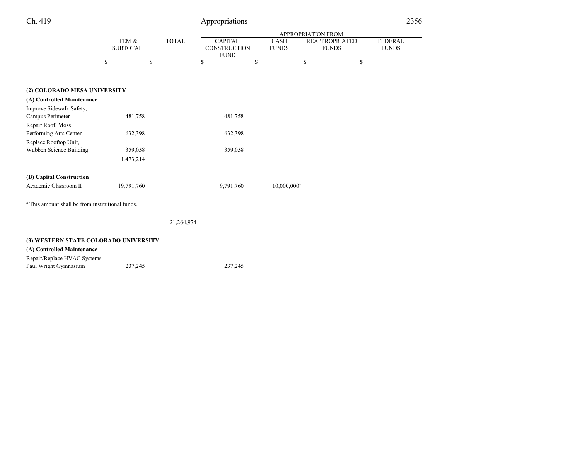|  | L |
|--|---|
|--|---|

## Appropriations 2356

|                                                             |                           |              |                                                      |                      | <b>APPROPRIATION FROM</b>             |                                |
|-------------------------------------------------------------|---------------------------|--------------|------------------------------------------------------|----------------------|---------------------------------------|--------------------------------|
|                                                             | ITEM &<br><b>SUBTOTAL</b> | <b>TOTAL</b> | <b>CAPITAL</b><br><b>CONSTRUCTION</b><br><b>FUND</b> | CASH<br><b>FUNDS</b> | <b>REAPPROPRIATED</b><br><b>FUNDS</b> | <b>FEDERAL</b><br><b>FUNDS</b> |
|                                                             | \$<br>\$                  |              | \$                                                   | \$                   | \$                                    | \$                             |
|                                                             |                           |              |                                                      |                      |                                       |                                |
| (2) COLORADO MESA UNIVERSITY                                |                           |              |                                                      |                      |                                       |                                |
| (A) Controlled Maintenance                                  |                           |              |                                                      |                      |                                       |                                |
| Improve Sidewalk Safety,                                    |                           |              |                                                      |                      |                                       |                                |
| Campus Perimeter                                            | 481,758                   |              | 481,758                                              |                      |                                       |                                |
| Repair Roof, Moss                                           |                           |              |                                                      |                      |                                       |                                |
| Performing Arts Center                                      | 632,398                   |              | 632,398                                              |                      |                                       |                                |
| Replace Rooftop Unit,                                       |                           |              |                                                      |                      |                                       |                                |
| Wubben Science Building                                     | 359,058                   |              | 359,058                                              |                      |                                       |                                |
|                                                             | 1,473,214                 |              |                                                      |                      |                                       |                                |
| (B) Capital Construction                                    |                           |              |                                                      |                      |                                       |                                |
| Academic Classroom II                                       | 19,791,760                |              | 9,791,760                                            | $10,000,000^a$       |                                       |                                |
| <sup>a</sup> This amount shall be from institutional funds. |                           |              |                                                      |                      |                                       |                                |
|                                                             |                           | 21,264,974   |                                                      |                      |                                       |                                |
| (3) WESTERN STATE COLORADO UNIVERSITY                       |                           |              |                                                      |                      |                                       |                                |
| (A) Controlled Maintenance                                  |                           |              |                                                      |                      |                                       |                                |
|                                                             |                           |              |                                                      |                      |                                       |                                |

Repair/Replace HVAC Systems, Paul Wright Gymnasium 237,245 237,245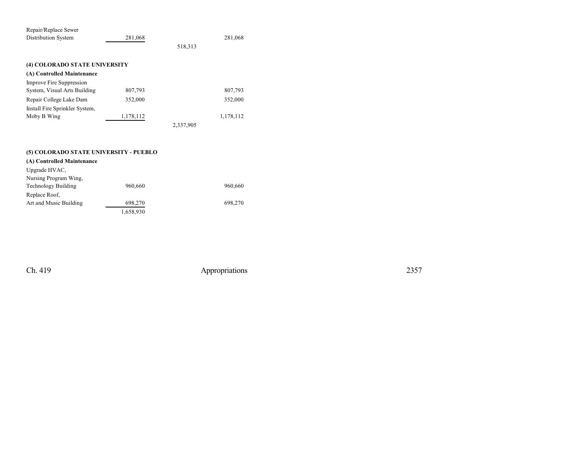| Repair/Replace Sewer           |           |           |           |
|--------------------------------|-----------|-----------|-----------|
| <b>Distribution System</b>     | 281,068   |           | 281,068   |
|                                |           | 518,313   |           |
| (4) COLORADO STATE UNIVERSITY  |           |           |           |
| (A) Controlled Maintenance     |           |           |           |
| Improve Fire Suppression       |           |           |           |
| System, Visual Arts Building   | 807,793   |           | 807,793   |
| Repair College Lake Dam        | 352,000   |           | 352,000   |
| Install Fire Sprinkler System, |           |           |           |
| Moby B Wing                    | 1,178,112 |           | 1,178,112 |
|                                |           | 2,337,905 |           |

|  | (5) COLORADO STATE UNIVERSITY - PUEBLO |  |
|--|----------------------------------------|--|
|  |                                        |  |

### **(A) Controlled Maintenance** Upgrade HVAC, Nursing Program Wing, Technology Building 960,660 960,660 Replace Roof, Art and Music Building 698,270 698,270 698,270 1,658,930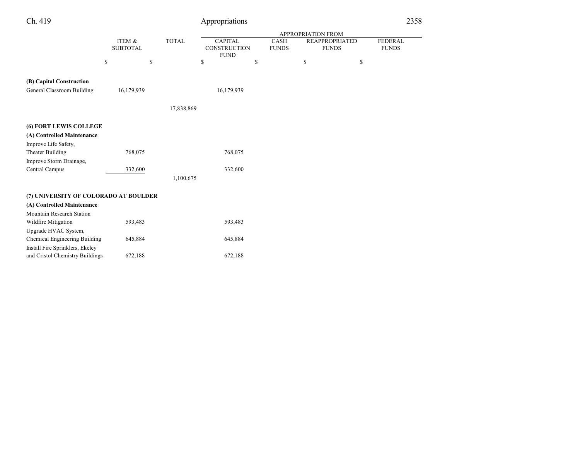| Ch. 419                               |                           |              | Appropriations                                       |                      |                                       |    | 2358                           |  |
|---------------------------------------|---------------------------|--------------|------------------------------------------------------|----------------------|---------------------------------------|----|--------------------------------|--|
|                                       |                           |              |                                                      |                      | APPROPRIATION FROM                    |    |                                |  |
|                                       | ITEM &<br><b>SUBTOTAL</b> | <b>TOTAL</b> | <b>CAPITAL</b><br><b>CONSTRUCTION</b><br><b>FUND</b> | CASH<br><b>FUNDS</b> | <b>REAPPROPRIATED</b><br><b>FUNDS</b> |    | <b>FEDERAL</b><br><b>FUNDS</b> |  |
|                                       | \$<br>\$                  |              | \$                                                   | \$                   | $\mathbb{S}$                          | \$ |                                |  |
| (B) Capital Construction              |                           |              |                                                      |                      |                                       |    |                                |  |
| General Classroom Building            | 16,179,939                |              | 16,179,939                                           |                      |                                       |    |                                |  |
|                                       |                           | 17,838,869   |                                                      |                      |                                       |    |                                |  |
| (6) FORT LEWIS COLLEGE                |                           |              |                                                      |                      |                                       |    |                                |  |
| (A) Controlled Maintenance            |                           |              |                                                      |                      |                                       |    |                                |  |
| Improve Life Safety,                  |                           |              |                                                      |                      |                                       |    |                                |  |
| Theater Building                      | 768,075                   |              | 768,075                                              |                      |                                       |    |                                |  |
| Improve Storm Drainage,               |                           |              |                                                      |                      |                                       |    |                                |  |
| Central Campus                        | 332,600                   |              | 332,600                                              |                      |                                       |    |                                |  |
|                                       |                           | 1,100,675    |                                                      |                      |                                       |    |                                |  |
| (7) UNIVERSITY OF COLORADO AT BOULDER |                           |              |                                                      |                      |                                       |    |                                |  |
| (A) Controlled Maintenance            |                           |              |                                                      |                      |                                       |    |                                |  |
| Mountain Research Station             |                           |              |                                                      |                      |                                       |    |                                |  |
| Wildfire Mitigation                   | 593,483                   |              | 593,483                                              |                      |                                       |    |                                |  |
| Upgrade HVAC System,                  |                           |              |                                                      |                      |                                       |    |                                |  |
| Chemical Engineering Building         | 645,884                   |              | 645,884                                              |                      |                                       |    |                                |  |
| Install Fire Sprinklers, Ekeley       |                           |              |                                                      |                      |                                       |    |                                |  |
| and Cristol Chemistry Buildings       | 672,188                   |              | 672,188                                              |                      |                                       |    |                                |  |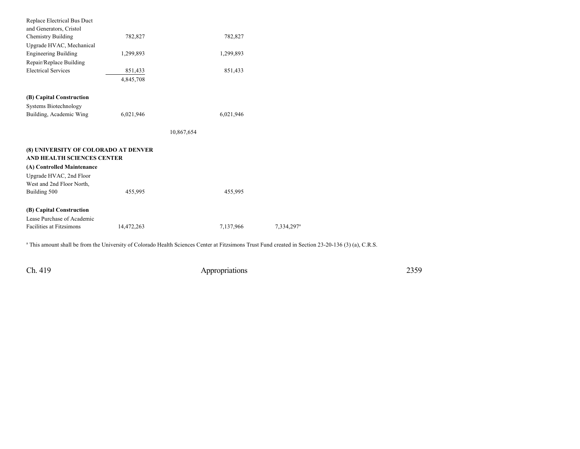| Replace Electrical Bus Duct          |            |            |                        |
|--------------------------------------|------------|------------|------------------------|
| and Generators, Cristol              |            |            |                        |
| <b>Chemistry Building</b>            | 782,827    | 782,827    |                        |
| Upgrade HVAC, Mechanical             |            |            |                        |
| <b>Engineering Building</b>          | 1,299,893  | 1,299,893  |                        |
| Repair/Replace Building              |            |            |                        |
| <b>Electrical Services</b>           | 851,433    | 851,433    |                        |
|                                      | 4,845,708  |            |                        |
| (B) Capital Construction             |            |            |                        |
|                                      |            |            |                        |
| <b>Systems Biotechnology</b>         |            |            |                        |
| Building, Academic Wing              | 6,021,946  | 6,021,946  |                        |
|                                      |            | 10,867,654 |                        |
|                                      |            |            |                        |
| (8) UNIVERSITY OF COLORADO AT DENVER |            |            |                        |
| AND HEALTH SCIENCES CENTER           |            |            |                        |
| (A) Controlled Maintenance           |            |            |                        |
| Upgrade HVAC, 2nd Floor              |            |            |                        |
| West and 2nd Floor North,            |            |            |                        |
| Building 500                         | 455,995    | 455,995    |                        |
| (B) Capital Construction             |            |            |                        |
| Lease Purchase of Academic           |            |            |                        |
| <b>Facilities at Fitzsimons</b>      |            |            |                        |
|                                      | 14,472,263 | 7,137,966  | 7,334,297 <sup>a</sup> |
|                                      |            |            |                        |

a This amount shall be from the University of Colorado Health Sciences Center at Fitzsimons Trust Fund created in Section 23-20-136 (3) (a), C.R.S.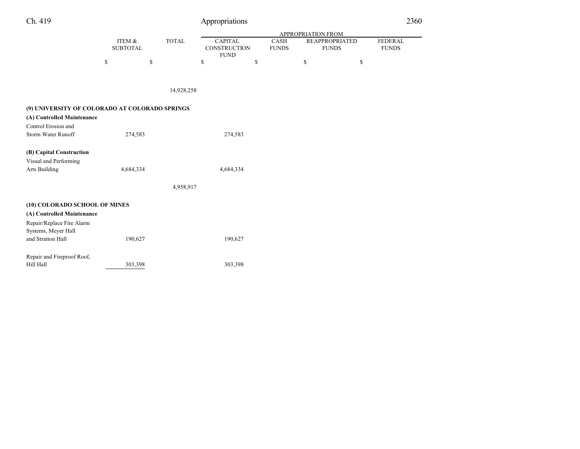| Ch. 419 |  |
|---------|--|
|---------|--|

| Ch. 419                                        |                           |              | Appropriations                                       |                      |                                       |    | 2360                           |
|------------------------------------------------|---------------------------|--------------|------------------------------------------------------|----------------------|---------------------------------------|----|--------------------------------|
|                                                |                           |              |                                                      |                      | APPROPRIATION FROM                    |    |                                |
|                                                | ITEM &<br><b>SUBTOTAL</b> | <b>TOTAL</b> | <b>CAPITAL</b><br><b>CONSTRUCTION</b><br><b>FUND</b> | CASH<br><b>FUNDS</b> | <b>REAPPROPRIATED</b><br><b>FUNDS</b> |    | <b>FEDERAL</b><br><b>FUNDS</b> |
|                                                | \$<br>\$                  |              | \$                                                   | \$                   | \$                                    | \$ |                                |
|                                                |                           | 14,928,258   |                                                      |                      |                                       |    |                                |
| (9) UNIVERSITY OF COLORADO AT COLORADO SPRINGS |                           |              |                                                      |                      |                                       |    |                                |
| (A) Controlled Maintenance                     |                           |              |                                                      |                      |                                       |    |                                |
| Control Erosion and                            |                           |              |                                                      |                      |                                       |    |                                |
| Storm Water Runoff                             | 274,583                   |              | 274,583                                              |                      |                                       |    |                                |
| (B) Capital Construction                       |                           |              |                                                      |                      |                                       |    |                                |
| Visual and Performing                          |                           |              |                                                      |                      |                                       |    |                                |
| <b>Arts Building</b>                           | 4,684,334                 |              | 4,684,334                                            |                      |                                       |    |                                |
|                                                |                           | 4,958,917    |                                                      |                      |                                       |    |                                |
| (10) COLORADO SCHOOL OF MINES                  |                           |              |                                                      |                      |                                       |    |                                |
| (A) Controlled Maintenance                     |                           |              |                                                      |                      |                                       |    |                                |
| Repair/Replace Fire Alarm                      |                           |              |                                                      |                      |                                       |    |                                |
| Systems, Meyer Hall                            |                           |              |                                                      |                      |                                       |    |                                |
| and Stratton Hall                              | 190,627                   |              | 190,627                                              |                      |                                       |    |                                |
| Repair and Fireproof Roof,                     |                           |              |                                                      |                      |                                       |    |                                |
| Hill Hall                                      | 303,398                   |              | 303,398                                              |                      |                                       |    |                                |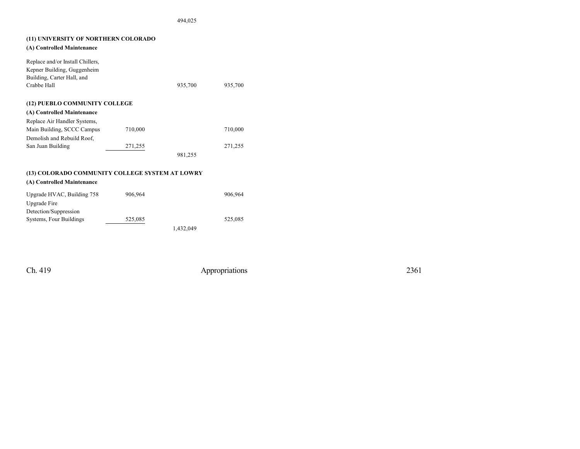494,025

| (11) UNIVERSITY OF NORTHERN COLORADO<br>(A) Controlled Maintenance |         |           |         |
|--------------------------------------------------------------------|---------|-----------|---------|
|                                                                    |         |           |         |
| Replace and/or Install Chillers,                                   |         |           |         |
| Kepner Building, Guggenheim<br>Building, Carter Hall, and          |         |           |         |
| Crabbe Hall                                                        |         | 935,700   | 935,700 |
|                                                                    |         |           |         |
| (12) PUEBLO COMMUNITY COLLEGE                                      |         |           |         |
| (A) Controlled Maintenance                                         |         |           |         |
| Replace Air Handler Systems,                                       |         |           |         |
| Main Building, SCCC Campus                                         | 710,000 |           | 710,000 |
| Demolish and Rebuild Roof,                                         |         |           |         |
| San Juan Building                                                  | 271,255 |           | 271,255 |
|                                                                    |         | 981,255   |         |
|                                                                    |         |           |         |
| (13) COLORADO COMMUNITY COLLEGE SYSTEM AT LOWRY                    |         |           |         |
| (A) Controlled Maintenance                                         |         |           |         |
| Upgrade HVAC, Building 758                                         | 906.964 |           | 906.964 |
| Upgrade Fire                                                       |         |           |         |
| Detection/Suppression                                              |         |           |         |
| Systems, Four Buildings                                            | 525,085 |           | 525,085 |
|                                                                    |         | 1,432,049 |         |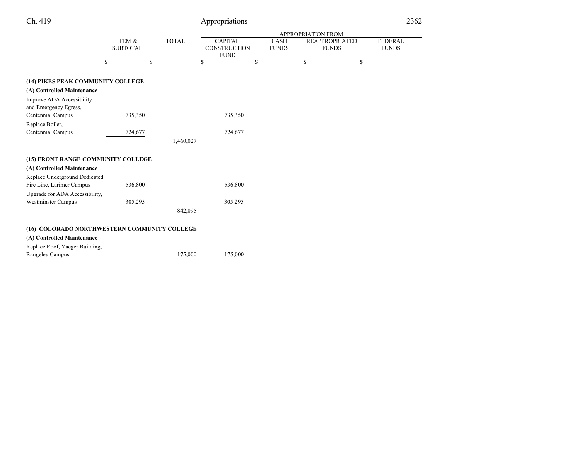| Ch. 419                                      |                           |              | Appropriations                                |                             |    |                                       | 2362                           |
|----------------------------------------------|---------------------------|--------------|-----------------------------------------------|-----------------------------|----|---------------------------------------|--------------------------------|
|                                              |                           |              |                                               | <b>APPROPRIATION FROM</b>   |    |                                       |                                |
|                                              | ITEM &<br><b>SUBTOTAL</b> | <b>TOTAL</b> | <b>CAPITAL</b><br>CONSTRUCTION<br><b>FUND</b> | <b>CASH</b><br><b>FUNDS</b> |    | <b>REAPPROPRIATED</b><br><b>FUNDS</b> | <b>FEDERAL</b><br><b>FUNDS</b> |
|                                              | \$<br>\$                  |              | \$                                            | \$                          | \$ | \$                                    |                                |
| (14) PIKES PEAK COMMUNITY COLLEGE            |                           |              |                                               |                             |    |                                       |                                |
| (A) Controlled Maintenance                   |                           |              |                                               |                             |    |                                       |                                |
| Improve ADA Accessibility                    |                           |              |                                               |                             |    |                                       |                                |
| and Emergency Egress,                        |                           |              |                                               |                             |    |                                       |                                |
| Centennial Campus                            | 735,350                   |              | 735,350                                       |                             |    |                                       |                                |
| Replace Boiler,                              |                           |              |                                               |                             |    |                                       |                                |
| Centennial Campus                            | 724,677                   |              | 724,677                                       |                             |    |                                       |                                |
|                                              |                           | 1,460,027    |                                               |                             |    |                                       |                                |
| (15) FRONT RANGE COMMUNITY COLLEGE           |                           |              |                                               |                             |    |                                       |                                |
| (A) Controlled Maintenance                   |                           |              |                                               |                             |    |                                       |                                |
| Replace Underground Dedicated                |                           |              |                                               |                             |    |                                       |                                |
| Fire Line, Larimer Campus                    | 536,800                   |              | 536,800                                       |                             |    |                                       |                                |
| Upgrade for ADA Accessibility,               |                           |              |                                               |                             |    |                                       |                                |
| <b>Westminster Campus</b>                    | 305,295                   |              | 305,295                                       |                             |    |                                       |                                |
|                                              |                           | 842,095      |                                               |                             |    |                                       |                                |
| (16) COLORADO NORTHWESTERN COMMUNITY COLLEGE |                           |              |                                               |                             |    |                                       |                                |
| (A) Controlled Maintenance                   |                           |              |                                               |                             |    |                                       |                                |
| Replace Roof, Yaeger Building,               |                           |              |                                               |                             |    |                                       |                                |
| Rangeley Campus                              |                           | 175,000      | 175,000                                       |                             |    |                                       |                                |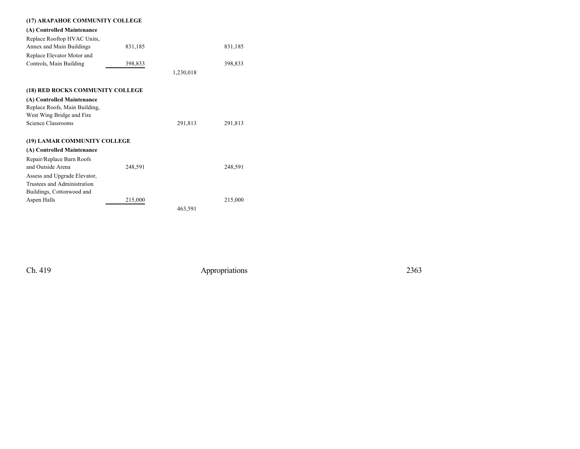| (17) ARAPAHOE COMMUNITY COLLEGE  |         |           |         |
|----------------------------------|---------|-----------|---------|
| (A) Controlled Maintenance       |         |           |         |
| Replace Rooftop HVAC Units,      |         |           |         |
| Annex and Main Buildings         | 831,185 |           | 831,185 |
| Replace Elevator Motor and       |         |           |         |
| Controls, Main Building          | 398,833 |           | 398,833 |
|                                  |         | 1,230,018 |         |
| (18) RED ROCKS COMMUNITY COLLEGE |         |           |         |
|                                  |         |           |         |
| (A) Controlled Maintenance       |         |           |         |
| Replace Roofs, Main Building,    |         |           |         |
| West Wing Bridge and Fire        |         |           |         |
| Science Classrooms               |         | 291,813   | 291,813 |
| (19) LAMAR COMMUNITY COLLEGE     |         |           |         |
| (A) Controlled Maintenance       |         |           |         |
| Repair/Replace Barn Roofs        |         |           |         |
| and Outside Arena                | 248,591 |           | 248,591 |
| Assess and Upgrade Elevator,     |         |           |         |
| Trustees and Administration      |         |           |         |
| Buildings, Cottonwood and        |         |           |         |
| Aspen Halls                      | 215,000 |           | 215,000 |
|                                  |         | 463,591   |         |
|                                  |         |           |         |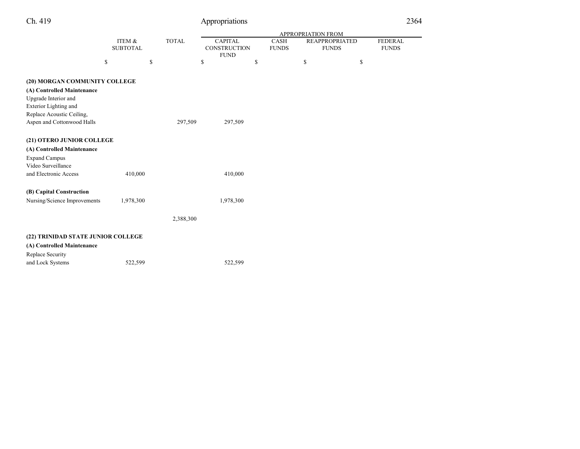| Ch. 419                                                  |                           |              | Appropriations                                       |                      |                                       |    | 2364                           |
|----------------------------------------------------------|---------------------------|--------------|------------------------------------------------------|----------------------|---------------------------------------|----|--------------------------------|
|                                                          |                           |              | APPROPRIATION FROM                                   |                      |                                       |    |                                |
|                                                          | ITEM &<br><b>SUBTOTAL</b> | <b>TOTAL</b> | <b>CAPITAL</b><br><b>CONSTRUCTION</b><br><b>FUND</b> | CASH<br><b>FUNDS</b> | <b>REAPPROPRIATED</b><br><b>FUNDS</b> |    | <b>FEDERAL</b><br><b>FUNDS</b> |
|                                                          | \$<br>\$                  |              | \$                                                   | \$                   | \$                                    | \$ |                                |
| (20) MORGAN COMMUNITY COLLEGE                            |                           |              |                                                      |                      |                                       |    |                                |
| (A) Controlled Maintenance                               |                           |              |                                                      |                      |                                       |    |                                |
| Upgrade Interior and                                     |                           |              |                                                      |                      |                                       |    |                                |
| Exterior Lighting and<br>Replace Acoustic Ceiling,       |                           |              |                                                      |                      |                                       |    |                                |
| Aspen and Cottonwood Halls                               |                           | 297,509      | 297,509                                              |                      |                                       |    |                                |
|                                                          |                           |              |                                                      |                      |                                       |    |                                |
| (21) OTERO JUNIOR COLLEGE                                |                           |              |                                                      |                      |                                       |    |                                |
| (A) Controlled Maintenance                               |                           |              |                                                      |                      |                                       |    |                                |
| <b>Expand Campus</b>                                     |                           |              |                                                      |                      |                                       |    |                                |
| Video Surveillance                                       |                           |              |                                                      |                      |                                       |    |                                |
| and Electronic Access                                    | 410,000                   |              | 410,000                                              |                      |                                       |    |                                |
|                                                          |                           |              |                                                      |                      |                                       |    |                                |
| (B) Capital Construction<br>Nursing/Science Improvements | 1,978,300                 |              | 1,978,300                                            |                      |                                       |    |                                |
|                                                          |                           |              |                                                      |                      |                                       |    |                                |
|                                                          |                           | 2,388,300    |                                                      |                      |                                       |    |                                |
|                                                          |                           |              |                                                      |                      |                                       |    |                                |
| (22) TRINIDAD STATE JUNIOR COLLEGE                       |                           |              |                                                      |                      |                                       |    |                                |
| (A) Controlled Maintenance                               |                           |              |                                                      |                      |                                       |    |                                |
| Replace Security                                         |                           |              |                                                      |                      |                                       |    |                                |
| and Lock Systems                                         | 522,599                   |              | 522,599                                              |                      |                                       |    |                                |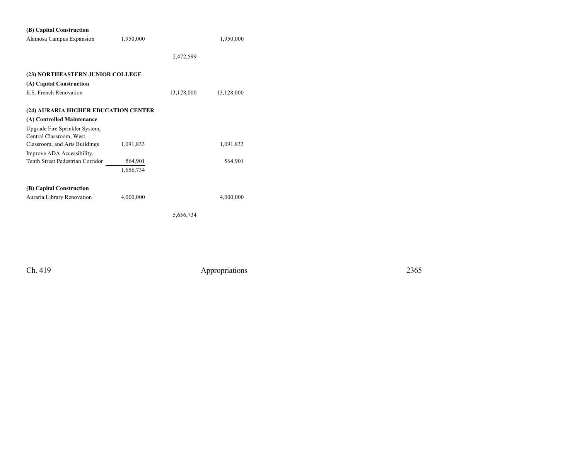| (B) Capital Construction                                  |           |            |            |
|-----------------------------------------------------------|-----------|------------|------------|
| Alamosa Campus Expansion                                  | 1,950,000 |            | 1,950,000  |
|                                                           |           |            |            |
|                                                           |           | 2,472,599  |            |
|                                                           |           |            |            |
| (23) NORTHEASTERN JUNIOR COLLEGE                          |           |            |            |
| (A) Capital Construction                                  |           |            |            |
| E.S. French Renovation                                    |           | 13,128,000 | 13,128,000 |
| (24) AURARIA HIGHER EDUCATION CENTER                      |           |            |            |
|                                                           |           |            |            |
| (A) Controlled Maintenance                                |           |            |            |
| Upgrade Fire Sprinkler System,<br>Central Classroom, West |           |            |            |
| Classroom, and Arts Buildings                             | 1,091,833 |            | 1,091,833  |
| Improve ADA Accessibility,                                |           |            |            |
| Tenth Street Pedestrian Corridor                          | 564,901   |            | 564,901    |
|                                                           | 1,656,734 |            |            |
| (B) Capital Construction                                  |           |            |            |
| Auraria Library Renovation                                | 4,000,000 |            | 4,000,000  |
|                                                           |           |            |            |
|                                                           |           | 5,656,734  |            |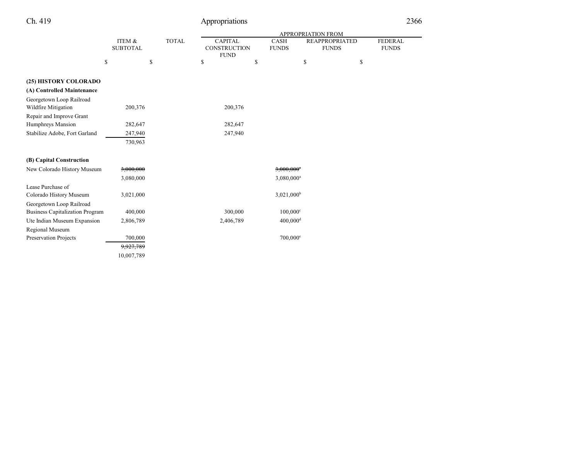|                                        |                           |              | APPROPRIATION FROM                            |    |                             |                                       |    |                                |  |
|----------------------------------------|---------------------------|--------------|-----------------------------------------------|----|-----------------------------|---------------------------------------|----|--------------------------------|--|
|                                        | ITEM &<br><b>SUBTOTAL</b> | <b>TOTAL</b> | <b>CAPITAL</b><br>CONSTRUCTION<br><b>FUND</b> |    | <b>CASH</b><br><b>FUNDS</b> | <b>REAPPROPRIATED</b><br><b>FUNDS</b> |    | <b>FEDERAL</b><br><b>FUNDS</b> |  |
|                                        | \$                        | \$           | \$                                            | \$ |                             | \$                                    | \$ |                                |  |
|                                        |                           |              |                                               |    |                             |                                       |    |                                |  |
| (25) HISTORY COLORADO                  |                           |              |                                               |    |                             |                                       |    |                                |  |
| (A) Controlled Maintenance             |                           |              |                                               |    |                             |                                       |    |                                |  |
| Georgetown Loop Railroad               |                           |              |                                               |    |                             |                                       |    |                                |  |
| Wildfire Mitigation                    | 200,376                   |              | 200,376                                       |    |                             |                                       |    |                                |  |
| Repair and Improve Grant               |                           |              |                                               |    |                             |                                       |    |                                |  |
| Humphreys Mansion                      | 282,647                   |              | 282,647                                       |    |                             |                                       |    |                                |  |
| Stabilize Adobe, Fort Garland          | 247,940                   |              | 247,940                                       |    |                             |                                       |    |                                |  |
|                                        | 730,963                   |              |                                               |    |                             |                                       |    |                                |  |
|                                        |                           |              |                                               |    |                             |                                       |    |                                |  |
| (B) Capital Construction               |                           |              |                                               |    |                             |                                       |    |                                |  |
| New Colorado History Museum            | 3,000,000                 |              |                                               |    | $3,000,000$ <sup>a</sup>    |                                       |    |                                |  |
|                                        | 3,080,000                 |              |                                               |    | 3,080,000 <sup>a</sup>      |                                       |    |                                |  |
| Lease Purchase of                      |                           |              |                                               |    |                             |                                       |    |                                |  |
| Colorado History Museum                | 3,021,000                 |              |                                               |    | 3,021,000 <sup>b</sup>      |                                       |    |                                |  |
| Georgetown Loop Railroad               |                           |              |                                               |    |                             |                                       |    |                                |  |
| <b>Business Capitalization Program</b> | 400,000                   |              | 300,000                                       |    | $100,000^{\circ}$           |                                       |    |                                |  |
| Ute Indian Museum Expansion            | 2,806,789                 |              | 2,406,789                                     |    | $400,000$ <sup>d</sup>      |                                       |    |                                |  |
| Regional Museum                        |                           |              |                                               |    |                             |                                       |    |                                |  |
| Preservation Projects                  | 700,000                   |              |                                               |    | $700,000$ <sup>e</sup>      |                                       |    |                                |  |
|                                        | 9,927,789                 |              |                                               |    |                             |                                       |    |                                |  |
|                                        | 10,007,789                |              |                                               |    |                             |                                       |    |                                |  |
|                                        |                           |              |                                               |    |                             |                                       |    |                                |  |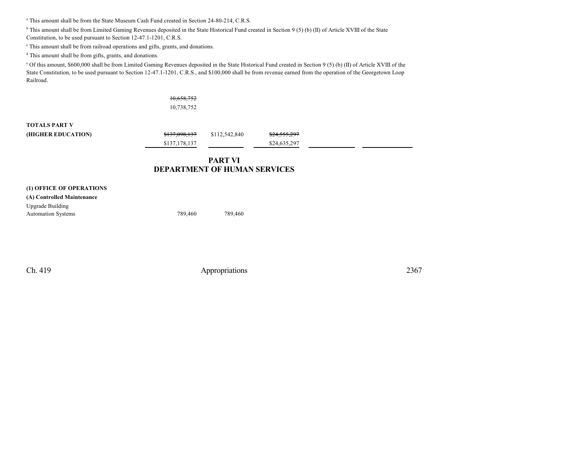<sup>a</sup> This amount shall be from the State Museum Cash Fund created in Section 24-80-214, C.R.S.

<sup>b</sup> This amount shall be from Limited Gaming Revenues deposited in the State Historical Fund created in Section 9 (5) (b) (II) of Article XVIII of the State

Constitution, to be used pursuant to Section 12-47.1-1201, C.R.S.

c This amount shall be from railroad operations and gifts, grants, and donations.

d This amount shall be from gifts, grants, and donations.

<sup>e</sup> Of this amount, \$600,000 shall be from Limited Gaming Revenues deposited in the State Historical Fund created in Section 9 (5) (b) (II) of Article XVIII of the State Constitution, to be used pursuant to Section 12-47.1-1201, C.R.S., and \$100,000 shall be from revenue earned from the operation of the Georgetown Loop Railroad.

> 10,658,752 10,738,752

## **TOTALS PART V**

| (HIGHER EDUCATION) | <del>\$137.098.137</del> | \$112,542,840 | \$24,555,297 |  |
|--------------------|--------------------------|---------------|--------------|--|
|                    | \$137,178,137            |               | \$24,635,297 |  |

## **PART VI DEPARTMENT OF HUMAN SERVICES**

| (1) OFFICE OF OPERATIONS   |         |         |
|----------------------------|---------|---------|
| (A) Controlled Maintenance |         |         |
| <b>Upgrade Building</b>    |         |         |
| <b>Automation Systems</b>  | 789.460 | 789,460 |
|                            |         |         |
|                            |         |         |
|                            |         |         |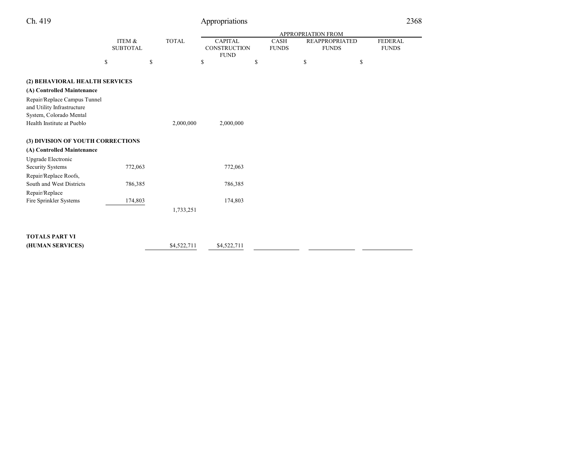| Ch. 419                                                    |                           |              | Appropriations                                |                             |                                       |                                |
|------------------------------------------------------------|---------------------------|--------------|-----------------------------------------------|-----------------------------|---------------------------------------|--------------------------------|
|                                                            |                           |              | <b>APPROPRIATION FROM</b>                     |                             |                                       |                                |
|                                                            | ITEM &<br><b>SUBTOTAL</b> | <b>TOTAL</b> | <b>CAPITAL</b><br>CONSTRUCTION<br><b>FUND</b> | <b>CASH</b><br><b>FUNDS</b> | <b>REAPPROPRIATED</b><br><b>FUNDS</b> | <b>FEDERAL</b><br><b>FUNDS</b> |
|                                                            | \$                        | \$           | \$                                            | \$                          | \$                                    | \$                             |
| (2) BEHAVIORAL HEALTH SERVICES                             |                           |              |                                               |                             |                                       |                                |
| (A) Controlled Maintenance                                 |                           |              |                                               |                             |                                       |                                |
| Repair/Replace Campus Tunnel<br>and Utility Infrastructure |                           |              |                                               |                             |                                       |                                |
| System, Colorado Mental<br>Health Institute at Pueblo      |                           | 2,000,000    | 2,000,000                                     |                             |                                       |                                |
|                                                            |                           |              |                                               |                             |                                       |                                |
| (3) DIVISION OF YOUTH CORRECTIONS                          |                           |              |                                               |                             |                                       |                                |
| (A) Controlled Maintenance                                 |                           |              |                                               |                             |                                       |                                |
| Upgrade Electronic                                         |                           |              |                                               |                             |                                       |                                |
| <b>Security Systems</b>                                    | 772,063                   |              | 772,063                                       |                             |                                       |                                |
| Repair/Replace Roofs,                                      |                           |              |                                               |                             |                                       |                                |
| South and West Districts                                   | 786,385                   |              | 786,385                                       |                             |                                       |                                |
| Repair/Replace                                             |                           |              |                                               |                             |                                       |                                |
| Fire Sprinkler Systems                                     | 174,803                   |              | 174,803                                       |                             |                                       |                                |
|                                                            |                           | 1,733,251    |                                               |                             |                                       |                                |
|                                                            |                           |              |                                               |                             |                                       |                                |
| <b>TOTALS PART VI</b>                                      |                           |              |                                               |                             |                                       |                                |
| (HUMAN SERVICES)                                           |                           | \$4,522,711  | \$4,522,711                                   |                             |                                       |                                |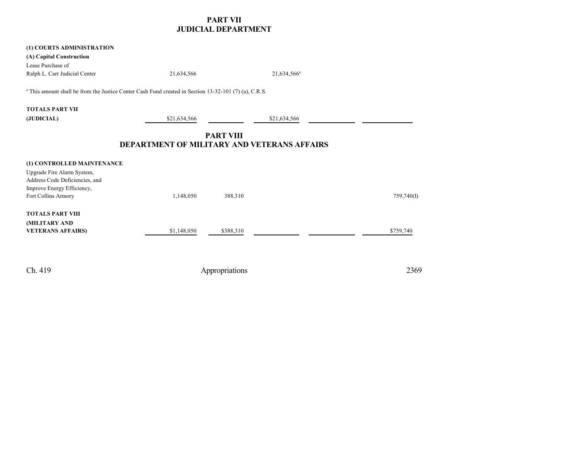## **PART VII JUDICIAL DEPARTMENT**

| (1) COURTS ADMINISTRATION<br>(A) Capital Construction                                                            |              |                         |            |  |  |  |
|------------------------------------------------------------------------------------------------------------------|--------------|-------------------------|------------|--|--|--|
| Lease Purchase of<br>Ralph L. Carr Judicial Center                                                               | 21,634,566   | 21,634,566 <sup>a</sup> |            |  |  |  |
| <sup>a</sup> This amount shall be from the Justice Center Cash Fund created in Section 13-32-101 (7) (a), C.R.S. |              |                         |            |  |  |  |
| <b>TOTALS PART VII</b>                                                                                           |              |                         |            |  |  |  |
| (JUDICIAL)                                                                                                       | \$21,634,566 | \$21,634,566            |            |  |  |  |
| <b>PART VIII</b><br><b>DEPARTMENT OF MILITARY AND VETERANS AFFAIRS</b>                                           |              |                         |            |  |  |  |
| (1) CONTROLLED MAINTENANCE                                                                                       |              |                         |            |  |  |  |
| Upgrade Fire Alarm System,<br>Address Code Deficiencies, and                                                     |              |                         |            |  |  |  |
| Improve Energy Efficiency,<br>Fort Collins Armory                                                                | 1,148,050    | 388,310                 | 759,740(I) |  |  |  |
| <b>TOTALS PART VIII</b>                                                                                          |              |                         |            |  |  |  |
| (MILITARY AND<br><b>VETERANS AFFAIRS)</b>                                                                        | \$1,148,050  | \$388,310               | \$759,740  |  |  |  |
| Ch. 419                                                                                                          |              | Appropriations          | 2369       |  |  |  |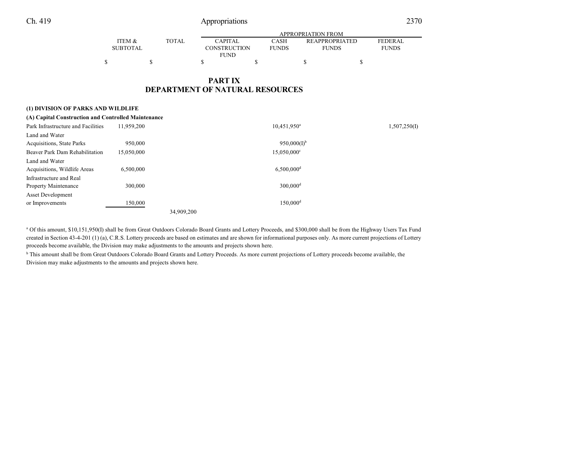1,507,250(I)

|          |              | APPROPRIATION FROM  |              |                       |              |  |  |
|----------|--------------|---------------------|--------------|-----------------------|--------------|--|--|
| ITEM &   | <b>TOTAL</b> | <b>CAPITAL</b>      | CASH         | <b>REAPPROPRIATED</b> | FEDERAL      |  |  |
| SUBTOTAL |              | <b>CONSTRUCTION</b> | <b>FUNDS</b> | <b>FUNDS</b>          | <b>FUNDS</b> |  |  |
|          |              | <b>FUND</b>         |              |                       |              |  |  |
|          |              |                     |              |                       |              |  |  |

 $10,451,950^a$ 

## **PART IX DEPARTMENT OF NATURAL RESOURCES**

#### **(1) DIVISION OF PARKS AND WILDLIFE**

| (A) Capital Construction and Controlled Maintenance |            |            |  |  |
|-----------------------------------------------------|------------|------------|--|--|
| Park Infrastructure and Facilities                  | 11.959.200 | 10.451.950 |  |  |
| Land and Water                                      |            |            |  |  |
| Acquisitions, State Parks                           | 950,000    | 950.000    |  |  |

| <b>Acquisitions, State Parks</b>                       | 950,000    | $950,000(1)$ <sup>b</sup> |
|--------------------------------------------------------|------------|---------------------------|
| Beaver Park Dam Rehabilitation                         | 15.050.000 | 15,050,000°               |
| Land and Water<br>Acquisitions, Wildlife Areas         | 6.500.000  | $6,500,000$ <sup>d</sup>  |
| Infrastructure and Real<br><b>Property Maintenance</b> | 300,000    | $300,000$ <sup>d</sup>    |
| <b>Asset Development</b>                               |            |                           |
| or Improvements                                        | 150,000    | $150.000$ <sup>d</sup>    |
|                                                        |            | 34,909,200                |

<sup>a</sup> Of this amount, \$10,151,950(I) shall be from Great Outdoors Colorado Board Grants and Lottery Proceeds, and \$300,000 shall be from the Highway Users Tax Fund created in Section 43-4-201 (1) (a), C.R.S. Lottery proceeds are based on estimates and are shown for informational purposes only. As more current projections of Lottery proceeds become available, the Division may make adjustments to the amounts and projects shown here.

<sup>b</sup> This amount shall be from Great Outdoors Colorado Board Grants and Lottery Proceeds. As more current projections of Lottery proceeds become available, the Division may make adjustments to the amounts and projects shown here.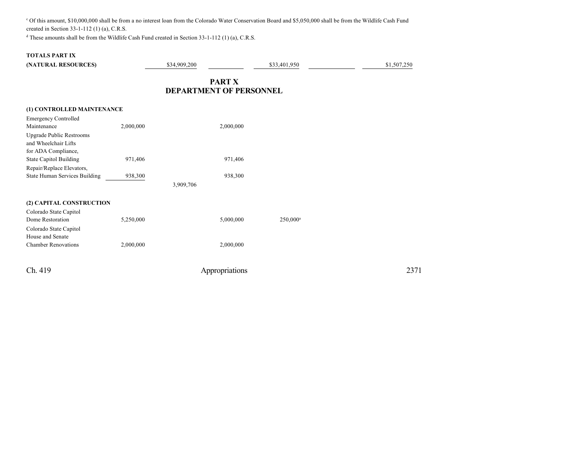c Of this amount, \$10,000,000 shall be from a no interest loan from the Colorado Water Conservation Board and \$5,050,000 shall be from the Wildlife Cash Fund created in Section 33-1-112 (1) (a), C.R.S.

<sup>d</sup> These amounts shall be from the Wildlife Cash Fund created in Section 33-1-112 (1) (a), C.R.S.

## **TOTALS PART IX**

| (NATURAL RESOURCES)                  |           | \$34,909,200                   |                | \$33,401,950 | \$1,507,250 |
|--------------------------------------|-----------|--------------------------------|----------------|--------------|-------------|
|                                      |           | <b>DEPARTMENT OF PERSONNEL</b> | <b>PART X</b>  |              |             |
|                                      |           |                                |                |              |             |
| (1) CONTROLLED MAINTENANCE           |           |                                |                |              |             |
| <b>Emergency Controlled</b>          |           |                                |                |              |             |
| Maintenance                          | 2,000,000 |                                | 2,000,000      |              |             |
| <b>Upgrade Public Restrooms</b>      |           |                                |                |              |             |
| and Wheelchair Lifts                 |           |                                |                |              |             |
| for ADA Compliance,                  |           |                                |                |              |             |
| <b>State Capitol Building</b>        | 971,406   |                                | 971,406        |              |             |
| Repair/Replace Elevators,            |           |                                |                |              |             |
| <b>State Human Services Building</b> | 938,300   |                                | 938,300        |              |             |
|                                      |           | 3,909,706                      |                |              |             |
| (2) CAPITAL CONSTRUCTION             |           |                                |                |              |             |
| Colorado State Capitol               |           |                                |                |              |             |
| Dome Restoration                     | 5,250,000 |                                | 5,000,000      | $250,000^a$  |             |
| Colorado State Capitol               |           |                                |                |              |             |
| House and Senate                     |           |                                |                |              |             |
| <b>Chamber Renovations</b>           | 2,000,000 |                                | 2,000,000      |              |             |
| Ch. 419                              |           |                                | Appropriations |              | 2371        |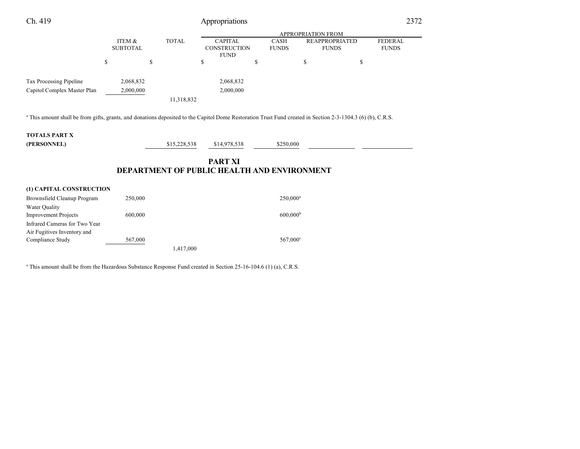| Ch. 419                                                                                                                                                                |                           |              | Appropriations                                                       |                             |                                       | 2372                           |
|------------------------------------------------------------------------------------------------------------------------------------------------------------------------|---------------------------|--------------|----------------------------------------------------------------------|-----------------------------|---------------------------------------|--------------------------------|
|                                                                                                                                                                        |                           |              |                                                                      |                             | <b>APPROPRIATION FROM</b>             |                                |
|                                                                                                                                                                        | ITEM &<br><b>SUBTOTAL</b> | <b>TOTAL</b> | <b>CAPITAL</b><br><b>CONSTRUCTION</b><br><b>FUND</b>                 | <b>CASH</b><br><b>FUNDS</b> | <b>REAPPROPRIATED</b><br><b>FUNDS</b> | <b>FEDERAL</b><br><b>FUNDS</b> |
|                                                                                                                                                                        | <sup>\$</sup>             | \$           | \$                                                                   | \$                          | \$<br>\$                              |                                |
| Tax Processing Pipeline                                                                                                                                                | 2,068,832                 |              | 2,068,832                                                            |                             |                                       |                                |
| Capitol Complex Master Plan                                                                                                                                            | 2,000,000                 |              | 2,000,000                                                            |                             |                                       |                                |
|                                                                                                                                                                        |                           | 11,318,832   |                                                                      |                             |                                       |                                |
| <sup>a</sup> This amount shall be from gifts, grants, and donations deposited to the Capitol Dome Restoration Trust Fund created in Section 2-3-1304.3 (6) (b), C.R.S. |                           |              |                                                                      |                             |                                       |                                |
| <b>TOTALS PART X</b><br>(PERSONNEL)                                                                                                                                    |                           | \$15,228,538 | \$14,978,538                                                         | \$250,000                   |                                       |                                |
|                                                                                                                                                                        |                           |              | <b>PART XI</b><br><b>DEPARTMENT OF PUBLIC HEALTH AND ENVIRONMENT</b> |                             |                                       |                                |

| (1) CAPITAL CONSTRUCTION      |         |           |                      |
|-------------------------------|---------|-----------|----------------------|
| Brownsfield Cleanup Program   | 250,000 |           | $250,000^a$          |
| Water Quality                 |         |           |                      |
| <b>Improvement Projects</b>   | 600,000 |           | 600.000 <sup>b</sup> |
| Infrared Cameras for Two Year |         |           |                      |
| Air Fugitives Inventory and   |         |           |                      |
| Compliance Study              | 567,000 |           | $567.000^{\circ}$    |
|                               |         | 1,417,000 |                      |
|                               |         |           |                      |

a This amount shall be from the Hazardous Substance Response Fund created in Section 25-16-104.6 (1) (a), C.R.S.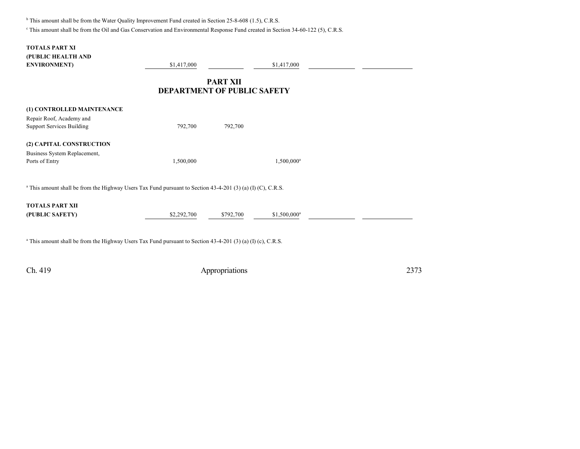<sup>b</sup> This amount shall be from the Water Quality Improvement Fund created in Section 25-8-608 (1.5), C.R.S.

c This amount shall be from the Oil and Gas Conservation and Environmental Response Fund created in Section 34-60-122 (5), C.R.S.

| <b>TOTALS PART XI</b><br>(PUBLIC HEALTH AND<br><b>ENVIRONMENT</b> )                                                      | \$1,417,000                        |                 | \$1,417,000    |  |
|--------------------------------------------------------------------------------------------------------------------------|------------------------------------|-----------------|----------------|--|
|                                                                                                                          | <b>DEPARTMENT OF PUBLIC SAFETY</b> | <b>PART XII</b> |                |  |
| (1) CONTROLLED MAINTENANCE<br>Repair Roof, Academy and<br><b>Support Services Building</b>                               | 792,700                            | 792,700         |                |  |
| (2) CAPITAL CONSTRUCTION<br>Business System Replacement,<br>Ports of Entry                                               | 1,500,000                          |                 | $1,500,000^a$  |  |
| <sup>a</sup> This amount shall be from the Highway Users Tax Fund pursuant to Section $43-4-201$ (3) (a) (I) (C), C.R.S. |                                    |                 |                |  |
| <b>TOTALS PART XII</b><br>(PUBLIC SAFETY)                                                                                | \$2,292,700                        | \$792,700       | $$1,500,000^a$ |  |
| $^a$ This amount shall be from the Highway Users Tax Fund pursuant to Section 43-4-201 (3) (a) (I) (c), C.R.S.           |                                    |                 |                |  |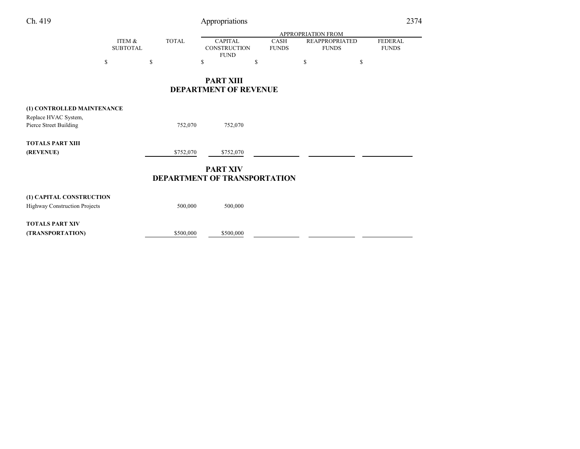| Ch. 419                       |                           |              | Appropriations |                                                        |                      |                                       |    | 2374                           |  |
|-------------------------------|---------------------------|--------------|----------------|--------------------------------------------------------|----------------------|---------------------------------------|----|--------------------------------|--|
|                               |                           |              |                |                                                        |                      | <b>APPROPRIATION FROM</b>             |    |                                |  |
|                               | ITEM &<br><b>SUBTOTAL</b> | <b>TOTAL</b> |                | <b>CAPITAL</b><br><b>CONSTRUCTION</b><br><b>FUND</b>   | CASH<br><b>FUNDS</b> | <b>REAPPROPRIATED</b><br><b>FUNDS</b> |    | <b>FEDERAL</b><br><b>FUNDS</b> |  |
|                               | \$                        | \$           | \$             | \$                                                     |                      | \$                                    | \$ |                                |  |
|                               |                           |              |                | <b>PART XIII</b><br><b>DEPARTMENT OF REVENUE</b>       |                      |                                       |    |                                |  |
| (1) CONTROLLED MAINTENANCE    |                           |              |                |                                                        |                      |                                       |    |                                |  |
| Replace HVAC System,          |                           |              |                |                                                        |                      |                                       |    |                                |  |
| Pierce Street Building        |                           |              | 752,070        | 752,070                                                |                      |                                       |    |                                |  |
| <b>TOTALS PART XIII</b>       |                           |              |                |                                                        |                      |                                       |    |                                |  |
| (REVENUE)                     |                           |              | \$752,070      | \$752,070                                              |                      |                                       |    |                                |  |
|                               |                           |              |                | <b>PART XIV</b><br><b>DEPARTMENT OF TRANSPORTATION</b> |                      |                                       |    |                                |  |
| (1) CAPITAL CONSTRUCTION      |                           |              |                |                                                        |                      |                                       |    |                                |  |
| Highway Construction Projects |                           |              | 500,000        | 500,000                                                |                      |                                       |    |                                |  |

**TOTALS PART XIV**

**(TRANSPORTATION)** \$500,000 \$500,000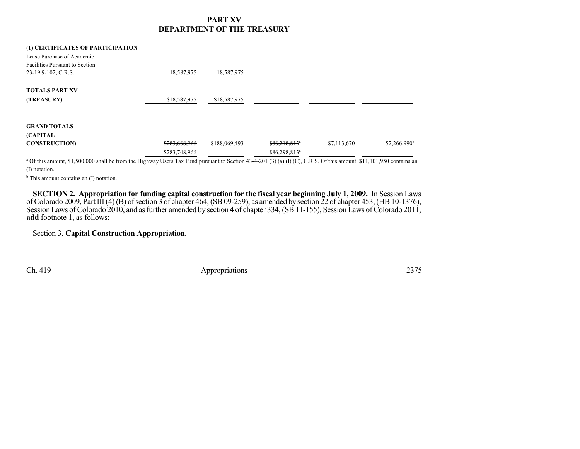## **PART XV DEPARTMENT OF THE TREASURY**

| (1) CERTIFICATES OF PARTICIPATION<br>Lease Purchase of Academic |               |               |                           |             |                |
|-----------------------------------------------------------------|---------------|---------------|---------------------------|-------------|----------------|
| <b>Facilities Pursuant to Section</b>                           |               |               |                           |             |                |
| 23-19.9-102, C.R.S.                                             | 18,587,975    | 18,587,975    |                           |             |                |
| <b>TOTALS PART XV</b>                                           |               |               |                           |             |                |
| (TREASURY)                                                      | \$18,587,975  | \$18,587,975  |                           |             |                |
| <b>GRAND TOTALS</b>                                             |               |               |                           |             |                |
| (CAPITAL                                                        |               |               |                           |             |                |
| <b>CONSTRUCTION)</b>                                            | \$283,668,966 | \$188,069,493 | \$86,218,813"             | \$7,113,670 | $$2,266,990^b$ |
|                                                                 | \$283,748,966 |               | \$86,298,813 <sup>a</sup> |             |                |

<sup>a</sup> Of this amount, \$1,500,000 shall be from the Highway Users Tax Fund pursuant to Section 43-4-201 (3) (a) (I) (C), C.R.S. Of this amount, \$11,101,950 contains an (I) notation.

<sup>b</sup> This amount contains an (I) notation.

**SECTION 2. Appropriation for funding capital construction for the fiscal year beginning July 1, 2009.** In Session Laws of Colorado 2009, Part III (4) (B) of section 3 of chapter 464, (SB 09-259), as amended by section  $\tilde{2}$ 2 of chapter 453, (HB 10-1376), Session Laws of Colorado 2010, and as further amended by section 4 of chapter 334, (SB 11-155), Session Laws of Colorado 2011, **add** footnote 1, as follows:

## Section 3. **Capital Construction Appropriation.**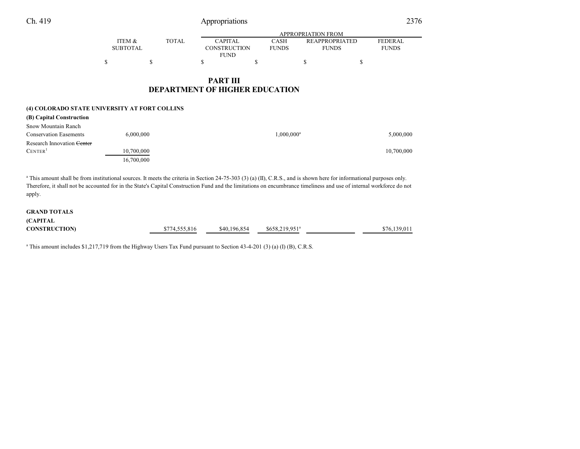|                 |              |                | APPROPRIATION FROM |                       |                |  |  |
|-----------------|--------------|----------------|--------------------|-----------------------|----------------|--|--|
| ITEM &          | <b>TOTAL</b> | <b>CAPITAL</b> | CASH               | <b>REAPPROPRIATED</b> | <b>FEDERAL</b> |  |  |
| <b>SUBTOTAL</b> |              | CONSTRUCTION   | <b>FUNDS</b>       | <b>FUNDS</b>          | <b>FUNDS</b>   |  |  |
|                 |              | <b>FUND</b>    |                    |                       |                |  |  |
| \$              |              |                |                    |                       |                |  |  |

## **PART III DEPARTMENT OF HIGHER EDUCATION**

#### **(4) COLORADO STATE UNIVERSITY AT FORT COLLINS**

| (B) Capital Construction              |            |               |            |
|---------------------------------------|------------|---------------|------------|
| Snow Mountain Ranch                   |            |               |            |
| <b>Conservation Easements</b>         | 6,000,000  | $1,000,000^a$ | 5,000,000  |
| Research Innovation <del>Center</del> |            |               |            |
| CENTER <sup>1</sup>                   | 10,700,000 |               | 10,700,000 |
|                                       | 16,700,000 |               |            |

<sup>a</sup> This amount shall be from institutional sources. It meets the criteria in Section 24-75-303 (3) (a) (II), C.R.S., and is shown here for informational purposes only. Therefore, it shall not be accounted for in the State's Capital Construction Fund and the limitations on encumbrance timeliness and use of internal workforce do not apply.

#### **GRAND TOTALS**

| <b>(CAPITAL</b>     |               |              |                            |              |
|---------------------|---------------|--------------|----------------------------|--------------|
| <b>CONSTRUCTION</b> | \$774,555,816 | \$40,196,854 | \$658,219,951 <sup>a</sup> | \$76.139.011 |

a This amount includes \$1,217,719 from the Highway Users Tax Fund pursuant to Section 43-4-201 (3) (a) (I) (B), C.R.S.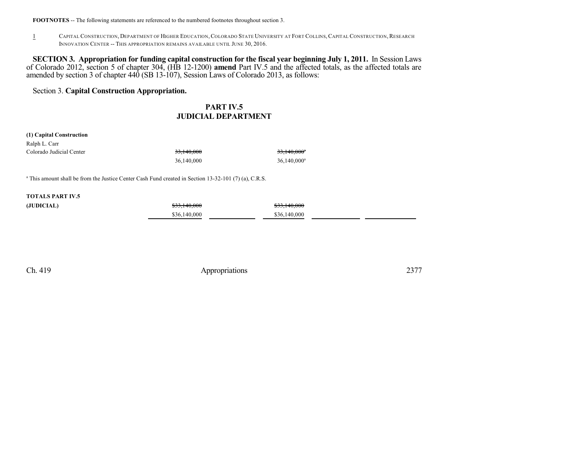#### **FOOTNOTES** -- The following statements are referenced to the numbered footnotes throughout section 3.

1 CAPITAL CONSTRUCTION, DEPARTMENT OF HIGHER EDUCATION,COLORADO STATE UNIVERSITY AT FORT COLLINS, CAPITAL CONSTRUCTION,RESEARCH INNOVATION CENTER -- THIS APPROPRIATION REMAINS AVAILABLE UNTIL JUNE 30, 2016.

**SECTION 3. Appropriation for funding capital construction for the fiscal year beginning July 1, 2011.** In Session Laws of Colorado 2012, section 5 of chapter 304, (HB 12-1200) **amend** Part IV.5 and the affected totals, as the affected totals are amended by section 3 of chapter 440 (SB 13-107), Session Laws of Colorado 2013, as follows:

Section 3. **Capital Construction Appropriation.**

## **PART IV.5 JUDICIAL DEPARTMENT**

#### **(1) Capital Construction**

| Ralph L. Carr            |            |                         |
|--------------------------|------------|-------------------------|
| Colorado Judicial Center | 33.140.000 | 33,140,000 <sup>°</sup> |
|                          | 36,140,000 | $36,140,000^a$          |

a This amount shall be from the Justice Center Cash Fund created in Section 13-32-101 (7) (a), C.R.S.

### **TOTALS PART IV.5**

| (JUDICIAL) | \$33,140,000 | \$33,140,000 |  |
|------------|--------------|--------------|--|
|            | \$36,140,000 | \$36,140,000 |  |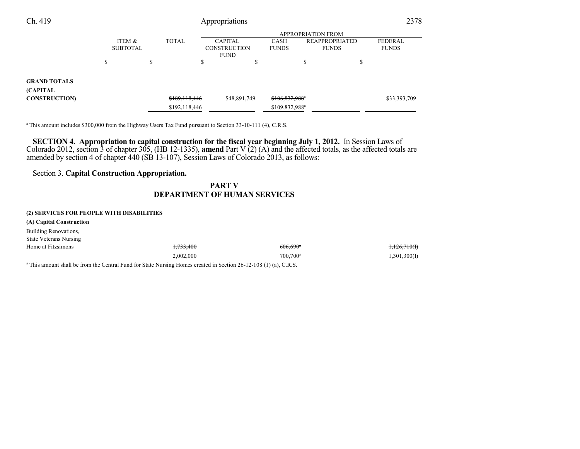| Ch. 419                                 | Appropriations            |        |               |                                                      |              |                            | 2378                                  |   |                                |
|-----------------------------------------|---------------------------|--------|---------------|------------------------------------------------------|--------------|----------------------------|---------------------------------------|---|--------------------------------|
|                                         |                           |        |               |                                                      |              |                            | <b>APPROPRIATION FROM</b>             |   |                                |
|                                         | ITEM &<br><b>SUBTOTAL</b> |        | <b>TOTAL</b>  | <b>CAPITAL</b><br><b>CONSTRUCTION</b><br><b>FUND</b> |              | CASH<br><b>FUNDS</b>       | <b>REAPPROPRIATED</b><br><b>FUNDS</b> |   | <b>FEDERAL</b><br><b>FUNDS</b> |
|                                         | \$                        | ¢<br>Ф |               | Ф                                                    | Φ            |                            | D                                     | Φ |                                |
| <b>GRAND TOTALS</b><br><b>(CAPITAL)</b> |                           |        |               |                                                      |              |                            |                                       |   |                                |
| <b>CONSTRUCTION</b>                     |                           |        | \$189,118,446 |                                                      | \$48,891,749 | \$106,832,988 <sup>a</sup> |                                       |   | \$33,393,709                   |
|                                         |                           |        | \$192,118,446 |                                                      |              | \$109,832,988 <sup>a</sup> |                                       |   |                                |

a This amount includes \$300,000 from the Highway Users Tax Fund pursuant to Section 33-10-111 (4), C.R.S.

**SECTION 4. Appropriation to capital construction for the fiscal year beginning July 1, 2012.** In Session Laws of Colorado 2012, section 3 of chapter 305, (HB 12-1335), **amend** Part V (2) (A) and the affected totals, as the affected totals are amended by section 4 of chapter 440 (SB 13-107), Session Laws of Colorado 2013, as follows:

## Section 3. **Capital Construction Appropriation.**

## **PART V DEPARTMENT OF HUMAN SERVICES**

#### **(2) SERVICES FOR PEOPLE WITH DISABILITIES**

**(A) Capital Construction**

Building Renovations,

State Veterans Nursing

| Home at Fitzsimons | 722.400<br>1,733,400                                                                                                          | $606.690^{\circ}$    | <del>1,126,710(I)</del> |
|--------------------|-------------------------------------------------------------------------------------------------------------------------------|----------------------|-------------------------|
|                    | 2.002.000                                                                                                                     | 700.700 <sup>a</sup> | (1,301,300(I            |
|                    | <sup>a</sup> This amount shall be from the Central Eund for State Nursing Hennes greated in Section 26, 12, 108 (1) (a) C B S |                      |                         |

This amount shall be from the Central Fund for State Nursing Homes created in Section 26-12-108 (1) (a), C.R.S.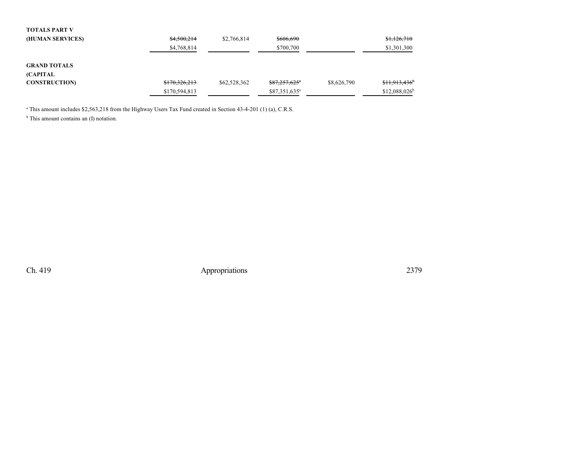| <b>TOTALS PART V</b> |               |              |                           |             |                            |
|----------------------|---------------|--------------|---------------------------|-------------|----------------------------|
| (HUMAN SERVICES)     | \$4,500,214   | \$2,766,814  | \$606,690                 |             | \$1,126,710                |
|                      | \$4,768,814   |              | \$700,700                 |             | \$1,301,300                |
| <b>GRAND TOTALS</b>  |               |              |                           |             |                            |
| (CAPITAL             |               |              |                           |             |                            |
| <b>CONSTRUCTION</b>  | \$170,326,213 | \$62,528,362 | \$87,257,625"             | \$8,626,790 | \$11,913,436               |
|                      | \$170,594,813 |              | \$87,351,635 <sup>a</sup> |             | $$12,088,026$ <sup>t</sup> |

a This amount includes \$2,563,218 from the Highway Users Tax Fund created in Section 43-4-201 (1) (a), C.R.S.

<sup>b</sup> This amount contains an (I) notation.

Ch. 419 Appropriations 2379